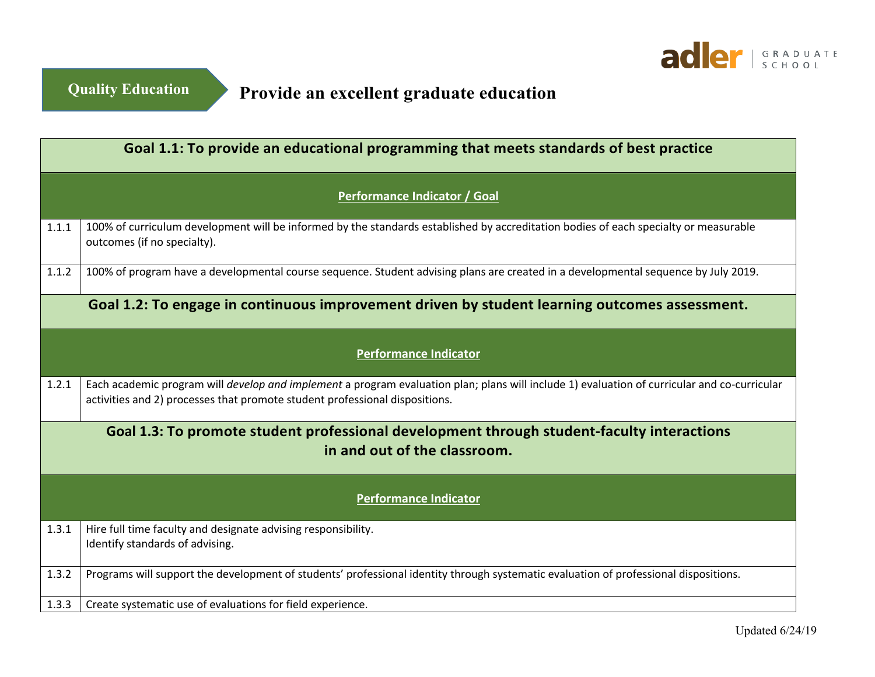

**Provide an excellent graduate education**

| Goal 1.1: To provide an educational programming that meets standards of best practice |                                                                                                                                                                                                                                    |  |
|---------------------------------------------------------------------------------------|------------------------------------------------------------------------------------------------------------------------------------------------------------------------------------------------------------------------------------|--|
| Performance Indicator / Goal                                                          |                                                                                                                                                                                                                                    |  |
| 1.1.1                                                                                 | 100% of curriculum development will be informed by the standards established by accreditation bodies of each specialty or measurable<br>outcomes (if no specialty).                                                                |  |
| 1.1.2                                                                                 | 100% of program have a developmental course sequence. Student advising plans are created in a developmental sequence by July 2019.                                                                                                 |  |
|                                                                                       | Goal 1.2: To engage in continuous improvement driven by student learning outcomes assessment.                                                                                                                                      |  |
| <b>Performance Indicator</b>                                                          |                                                                                                                                                                                                                                    |  |
| 1.2.1                                                                                 | Each academic program will <i>develop and implement</i> a program evaluation plan; plans will include 1) evaluation of curricular and co-curricular<br>activities and 2) processes that promote student professional dispositions. |  |
|                                                                                       | Goal 1.3: To promote student professional development through student-faculty interactions<br>in and out of the classroom.                                                                                                         |  |
|                                                                                       | <b>Performance Indicator</b>                                                                                                                                                                                                       |  |
| 1.3.1                                                                                 | Hire full time faculty and designate advising responsibility.<br>Identify standards of advising.                                                                                                                                   |  |
| 1.3.2                                                                                 | Programs will support the development of students' professional identity through systematic evaluation of professional dispositions.                                                                                               |  |
| 1.3.3                                                                                 | Create systematic use of evaluations for field experience.                                                                                                                                                                         |  |